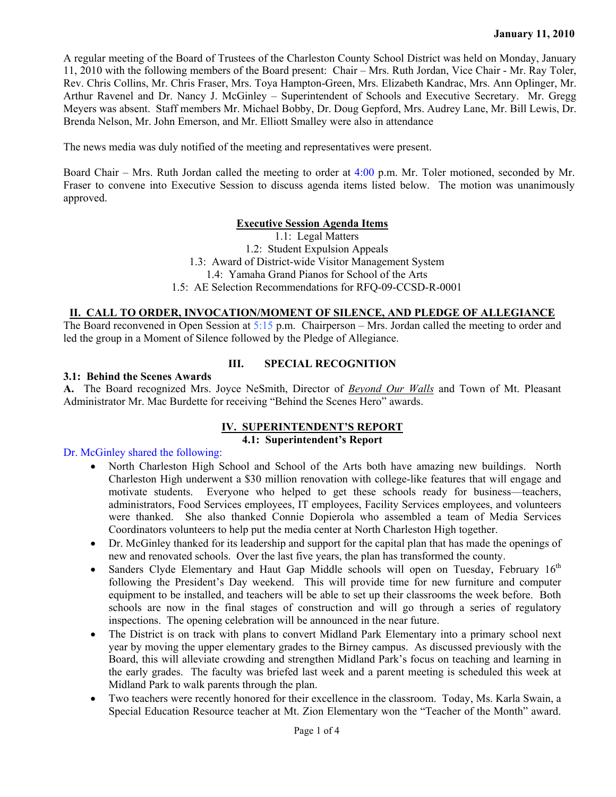A regular meeting of the Board of Trustees of the Charleston County School District was held on Monday, January 11, 2010 with the following members of the Board present: Chair – Mrs. Ruth Jordan, Vice Chair - Mr. Ray Toler, Rev. Chris Collins, Mr. Chris Fraser, Mrs. Toya Hampton-Green, Mrs. Elizabeth Kandrac, Mrs. Ann Oplinger, Mr. Arthur Ravenel and Dr. Nancy J. McGinley – Superintendent of Schools and Executive Secretary. Mr. Gregg Meyers was absent. Staff members Mr. Michael Bobby, Dr. Doug Gepford, Mrs. Audrey Lane, Mr. Bill Lewis, Dr. Brenda Nelson, Mr. John Emerson, and Mr. Elliott Smalley were also in attendance

The news media was duly notified of the meeting and representatives were present.

Board Chair – Mrs. Ruth Jordan called the meeting to order at  $4:00$  p.m. Mr. Toler motioned, seconded by Mr. Fraser to convene into Executive Session to discuss agenda items listed below. The motion was unanimously approved.

## **Executive Session Agenda Items**

1.1: Legal Matters 1.2: Student Expulsion Appeals 1.3: Award of District-wide Visitor Management System 1.4: Yamaha Grand Pianos for School of the Arts 1.5: AE Selection Recommendations for RFQ-09-CCSD-R-0001

## **II. CALL TO ORDER, INVOCATION/MOMENT OF SILENCE, AND PLEDGE OF ALLEGIANCE**

The Board reconvened in Open Session at 5:15 p.m. Chairperson – Mrs. Jordan called the meeting to order and led the group in a Moment of Silence followed by the Pledge of Allegiance.

#### **III. SPECIAL RECOGNITION**

#### **3.1: Behind the Scenes Awards**

**A.** The Board recognized Mrs. Joyce NeSmith, Director of *Beyond Our Walls* and Town of Mt. Pleasant Administrator Mr. Mac Burdette for receiving "Behind the Scenes Hero" awards.

#### **IV. SUPERINTENDENT'S REPORT**

### **4.1: Superintendent's Report**

#### Dr. McGinley shared the following:

- North Charleston High School and School of the Arts both have amazing new buildings. North Charleston High underwent a \$30 million renovation with college-like features that will engage and motivate students. Everyone who helped to get these schools ready for business—teachers, administrators, Food Services employees, IT employees, Facility Services employees, and volunteers were thanked. She also thanked Connie Dopierola who assembled a team of Media Services Coordinators volunteers to help put the media center at North Charleston High together.
- Dr. McGinley thanked for its leadership and support for the capital plan that has made the openings of new and renovated schools. Over the last five years, the plan has transformed the county.
- Sanders Clyde Elementary and Haut Gap Middle schools will open on Tuesday, February  $16<sup>th</sup>$ following the President's Day weekend. This will provide time for new furniture and computer equipment to be installed, and teachers will be able to set up their classrooms the week before. Both schools are now in the final stages of construction and will go through a series of regulatory inspections. The opening celebration will be announced in the near future.
- The District is on track with plans to convert Midland Park Elementary into a primary school next year by moving the upper elementary grades to the Birney campus. As discussed previously with the Board, this will alleviate crowding and strengthen Midland Park's focus on teaching and learning in the early grades. The faculty was briefed last week and a parent meeting is scheduled this week at Midland Park to walk parents through the plan.
- Two teachers were recently honored for their excellence in the classroom. Today, Ms. Karla Swain, a Special Education Resource teacher at Mt. Zion Elementary won the "Teacher of the Month" award.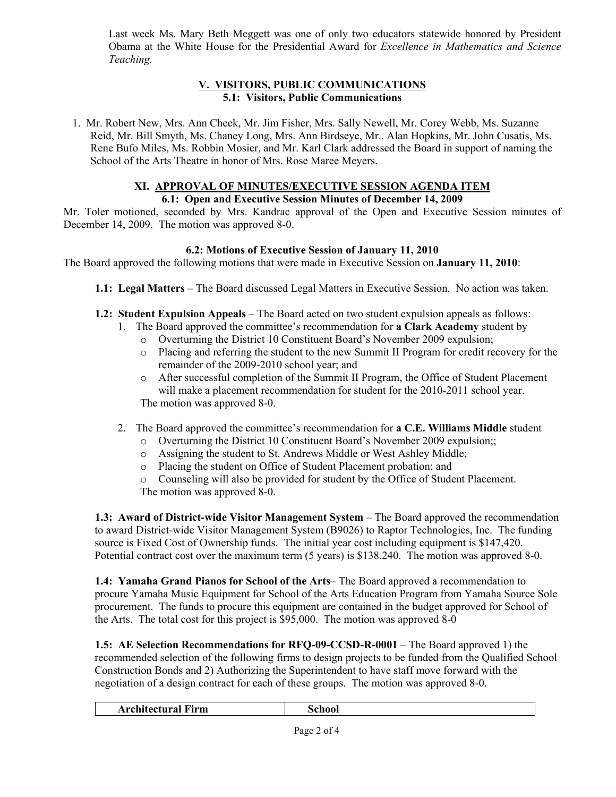Last week Ms. Mary Beth Meggett was one of only two educators statewide honored by President Obama at the White House for the Presidential Award for *Excellence in Mathematics and Science Teaching.* 

# **V. VISITORS, PUBLIC COMMUNICATIONS 5.1: Visitors, Public Communications**

1. Mr. Robert New, Mrs. Ann Cheek, Mr. Jim Fisher, Mrs. Sally Newell, Mr. Corey Webb, Ms. Suzanne Reid, Mr. Bill Smyth, Ms. Chaney Long, Mrs. Ann Birdseye, Mr.. Alan Hopkins, Mr. John Cusatis, Ms. Rene Bufo Miles, Ms. Robbin Mosier, and Mr. Karl Clark addressed the Board in support of naming the School of the Arts Theatre in honor of Mrs. Rose Maree Meyers.

# **XI. APPROVAL OF MINUTES/EXECUTIVE SESSION AGENDA ITEM**

## **6.1: Open and Executive Session Minutes of December 14, 2009**

Mr. Toler motioned, seconded by Mrs. Kandrac approval of the Open and Executive Session minutes of December 14, 2009. The motion was approved 8-0.

## **6.2: Motions of Executive Session of January 11, 2010**

The Board approved the following motions that were made in Executive Session on **January 11, 2010**:

- **1.1: Legal Matters** The Board discussed Legal Matters in Executive Session. No action was taken.
- **1.2: Student Expulsion Appeals** The Board acted on two student expulsion appeals as follows:
	- 1. The Board approved the committee's recommendation for **a Clark Academy** student by
		- o Overturning the District 10 Constituent Board's November 2009 expulsion;
		- o Placing and referring the student to the new Summit II Program for credit recovery for the remainder of the 2009-2010 school year; and
		- o After successful completion of the Summit II Program, the Office of Student Placement will make a placement recommendation for student for the 2010-2011 school year. The motion was approved 8-0.
	- 2. The Board approved the committee's recommendation for **a C.E. Williams Middle** student
		- o Overturning the District 10 Constituent Board's November 2009 expulsion;;
		- o Assigning the student to St. Andrews Middle or West Ashley Middle;
		- o Placing the student on Office of Student Placement probation; and

o Counseling will also be provided for student by the Office of Student Placement. The motion was approved 8-0.

**1.3: Award of District-wide Visitor Management System** – The Board approved the recommendation to award District-wide Visitor Management System (B9026) to Raptor Technologies, Inc. The funding source is Fixed Cost of Ownership funds. The initial year cost including equipment is \$147,420. Potential contract cost over the maximum term (5 years) is \$138.240. The motion was approved 8-0.

**1.4: Yamaha Grand Pianos for School of the Arts**– The Board approved a recommendation to procure Yamaha Music Equipment for School of the Arts Education Program from Yamaha Source Sole procurement. The funds to procure this equipment are contained in the budget approved for School of the Arts. The total cost for this project is \$95,000. The motion was approved 8-0

**1.5: AE Selection Recommendations for RFQ-09-CCSD-R-0001** – The Board approved 1) the recommended selection of the following firms to design projects to be funded from the Qualified School Construction Bonds and 2) Authorizing the Superintendent to have staff move forward with the negotiation of a design contract for each of these groups. The motion was approved 8-0.

|--|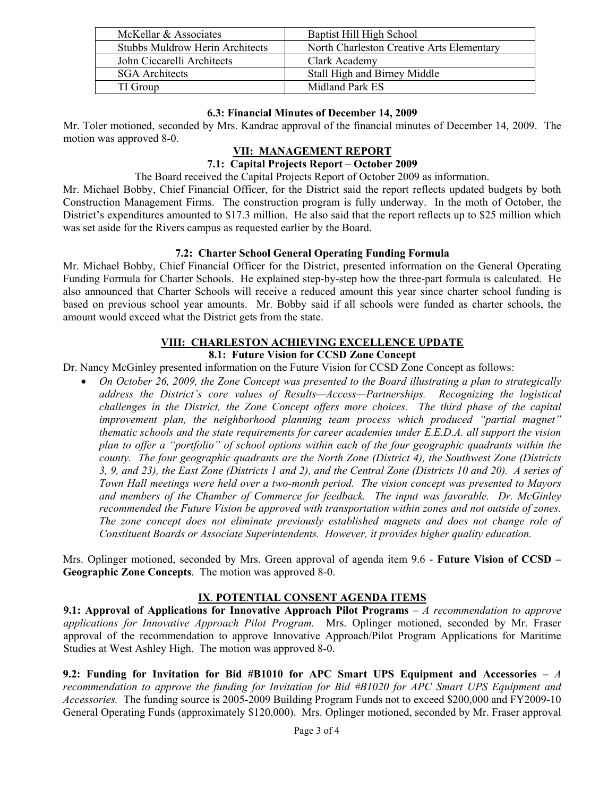| McKellar & Associates                  | Baptist Hill High School                  |
|----------------------------------------|-------------------------------------------|
| <b>Stubbs Muldrow Herin Architects</b> | North Charleston Creative Arts Elementary |
| John Ciccarelli Architects             | Clark Academy                             |
| <b>SGA</b> Architects                  | Stall High and Birney Middle              |
| TI Group                               | Midland Park ES                           |

## **6.3: Financial Minutes of December 14, 2009**

Mr. Toler motioned, seconded by Mrs. Kandrac approval of the financial minutes of December 14, 2009. The motion was approved 8-0.

# **VII: MANAGEMENT REPORT**

# **7.1: Capital Projects Report – October 2009**

The Board received the Capital Projects Report of October 2009 as information.

Mr. Michael Bobby, Chief Financial Officer, for the District said the report reflects updated budgets by both Construction Management Firms. The construction program is fully underway. In the moth of October, the District's expenditures amounted to \$17.3 million. He also said that the report reflects up to \$25 million which was set aside for the Rivers campus as requested earlier by the Board.

## **7.2: Charter School General Operating Funding Formula**

Mr. Michael Bobby, Chief Financial Officer for the District, presented information on the General Operating Funding Formula for Charter Schools. He explained step-by-step how the three-part formula is calculated. He also announced that Charter Schools will receive a reduced amount this year since charter school funding is based on previous school year amounts. Mr. Bobby said if all schools were funded as charter schools, the amount would exceed what the District gets from the state.

# **VIII: CHARLESTON ACHIEVING EXCELLENCE UPDATE**

## **8.1: Future Vision for CCSD Zone Concept**

Dr. Nancy McGinley presented information on the Future Vision for CCSD Zone Concept as follows:

• *On October 26, 2009, the Zone Concept was presented to the Board illustrating a plan to strategically address the District's core values of Results—Access—Partnerships. Recognizing the logistical challenges in the District, the Zone Concept offers more choices. The third phase of the capital improvement plan, the neighborhood planning team process which produced "partial magnet" thematic schools and the state requirements for career academies under E.E.D.A. all support the vision plan to offer a "portfolio" of school options within each of the four geographic quadrants within the county. The four geographic quadrants are the North Zone (District 4), the Southwest Zone (Districts 3, 9, and 23), the East Zone (Districts 1 and 2), and the Central Zone (Districts 10 and 20). A series of Town Hall meetings were held over a two-month period. The vision concept was presented to Mayors and members of the Chamber of Commerce for feedback. The input was favorable. Dr. McGinley recommended the Future Vision be approved with transportation within zones and not outside of zones. The zone concept does not eliminate previously established magnets and does not change role of Constituent Boards or Associate Superintendents. However, it provides higher quality education.* 

Mrs. Oplinger motioned, seconded by Mrs. Green approval of agenda item 9.6 - **Future Vision of CCSD – Geographic Zone Concepts**. The motion was approved 8-0.

# **IX**. **POTENTIAL CONSENT AGENDA ITEMS**

**9.1: Approval of Applications for Innovative Approach Pilot Programs** – *A recommendation to approve applications for Innovative Approach Pilot Program.* Mrs. Oplinger motioned, seconded by Mr. Fraser approval of the recommendation to approve Innovative Approach/Pilot Program Applications for Maritime Studies at West Ashley High. The motion was approved 8-0.

**9.2: Funding for Invitation for Bid #B1010 for APC Smart UPS Equipment and Accessories –** *A recommendation to approve the funding for Invitation for Bid #B1020 for APC Smart UPS Equipment and Accessories.* The funding source is 2005-2009 Building Program Funds not to exceed \$200,000 and FY2009-10 General Operating Funds (approximately \$120,000). Mrs. Oplinger motioned, seconded by Mr. Fraser approval